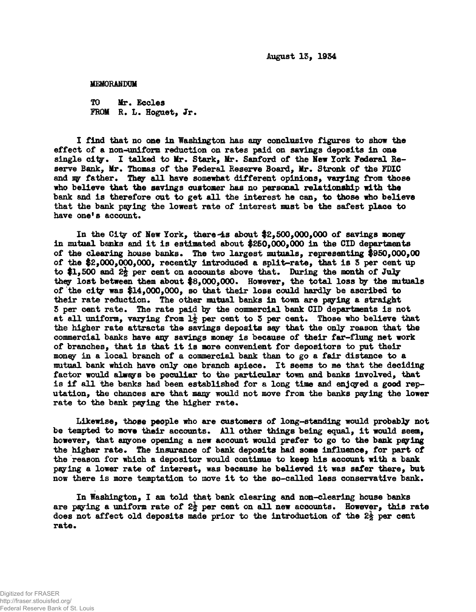**August 13, 1934**

**MEMORANDUM**

**TO Mr. Ecdes FROM R. L. Hoguet, Jr.**

**I find that no one in Washington has any conclusive figures to show the effect of a non-uniform reduction on rates paid on savings deposits in one single city. I talked to Mr. Stark, Mr. Sanford of the Hew York Federal Beserve Bank, Mr. Thomas of the Federal Reserve Board, Mr. Stronk of the FDIC and w father. They all have somewhat different opinions, varying from those who believe that the savings customer has no personal relationship with the bank and is therefore out to get all the interest he can, to those who believe that the bank paying the lowest rate of interest mast be the safest place to have one's account.**

**In the City of New York, there-is about \$2,600,000,000 of savings money in mutual banks and it is estimated about \$250,000,000 in the CID departments of the clearing house banks. The two largest mutuals, representing \$950,000,00 of the \$2,000,000,000, recently introduced a split-rate, that is 5 per cent up** to \$1,500 and  $2\frac{1}{2}$  per cent on accounts above that. During the month of July **they lost between them about \$8,000,000. However, the total loss by the mutuals of the city was \$14,000,000, so that their loss could hardly be ascribed to their rate reduction. The other mutual banks in town are paying a straight 3 per cent rate. The rate paid by the commercial bank CID departments is not** at all uniform, varying from  $1\frac{1}{2}$  per cent to 3 per cent. Those who believe that **the higher rate attracts the savings deposits say that the only reason that the commercial banks have any savings money is because of their far-flung net work of branches, that is that it is more convenient for depositors to put their money in a local branch of a commercial bank than to go a fair distance to a mutual bank which have only one branch apiece. It seems to me that the deciding factor would always be peculiar to the particular town and banks involved, that is if all the banks had been established for a long time and enjoyed a good reputation, the chances are that many would not move from the banks paying the lower rate to the bank paying the higher rate.**

**Likewise, those people who are customers of long-standing would probably not be tempted to move their accounts. All other things being equal, it would seem, however, that anyone opening a new account would prefer to go to the bank paying the higher rate. The insurance of bank deposits had some influence, for part of the reason for which a depositor would continue to keep his account with a bank paying a lower rate of interest, was because he believed it was safer there, but now there is more temptation to move it to the so-called less conservative bank.**

**In Washington, I am told that bank clearing and non-clearing house banks are paying a uniform rate of 2§ per emit on all new accounts. However, this rate does not affect old deposits made prior to the introduction of the 2§ per rate.**